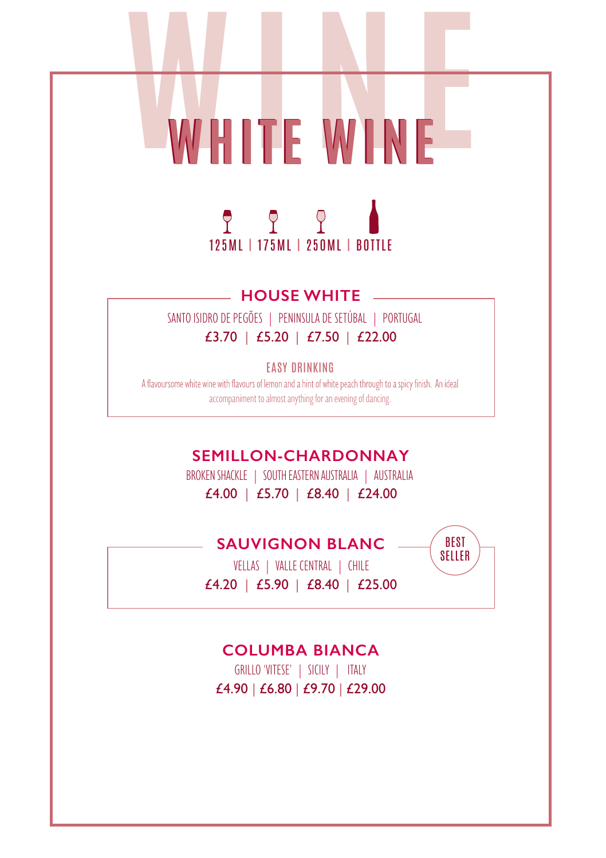

WHITE WINE

## **HOUSE WHITE**

SANTO ISIDRO DE PEGÕES | PENINSULA DE SETÚBAL | PORTUGAL £3.70 | £5.20 | £7.50 | £22.00

EASY DRINKING

A flavoursome white wine with flavours of lemon and a hint of white peach through to a spicy finish. An ideal accompaniment to almost anything for an evening of dancing.

**SEMILLON-CHARDONNAY**

BROKEN SHACKLE | SOUTH EASTERN AUSTRALIA | AUSTRALIA £4.00 | £5.70 | £8.40 | £24.00

**SAUVIGNON BLANC**

 VELLAS | VALLE CENTRAL | CHILE £4.20 | £5.90 | £8.40 | £25.00

BEST SELLER

#### **COLUMBA BIANCA**

 GRILLO'VITESE' | SICILY | ITALY £4.90 | £6.80 | £9.70 | £29.00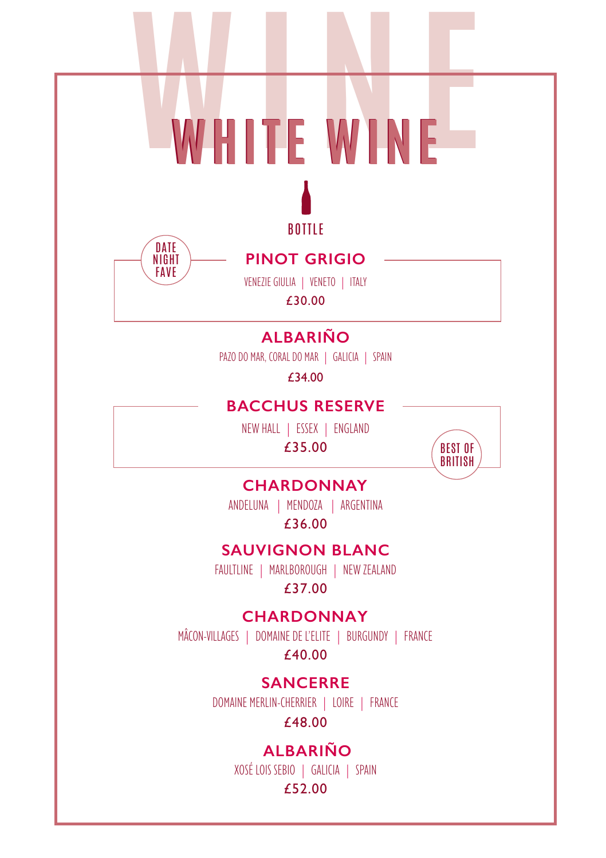# WHITE WINE





# **PINOT GRIGIO**

VENEZIE GIULIA | VENETO | ITALY £30.00

# **ALBARIÑO**

PAZO DO MAR, CORAL DO MAR | GALICIA | SPAIN

£34.00

## **BACCHUS RESERVE**

NEW HALL | ESSEX | ENGLAND £35.00



# **CHARDONNAY**

ANDELUNA | MENDOZA | ARGENTINA £36.00

# **SAUVIGNON BLANC**

FAULTLINE | MARLBOROUGH | NEW ZEALAND £37.00

# **CHARDONNAY**

MÂCON-VILLAGES | DOMAINEDE L'ELITE | BURGUNDY | FRANCE

£40.00

# **SANCERRE**

DOMAINE MERLIN-CHERRIER | LOIRE | FRANCE

£48.00

# **ALBARIÑO**

XOSÉ LOIS SEBIO | GALICIA | SPAIN

#### £52.00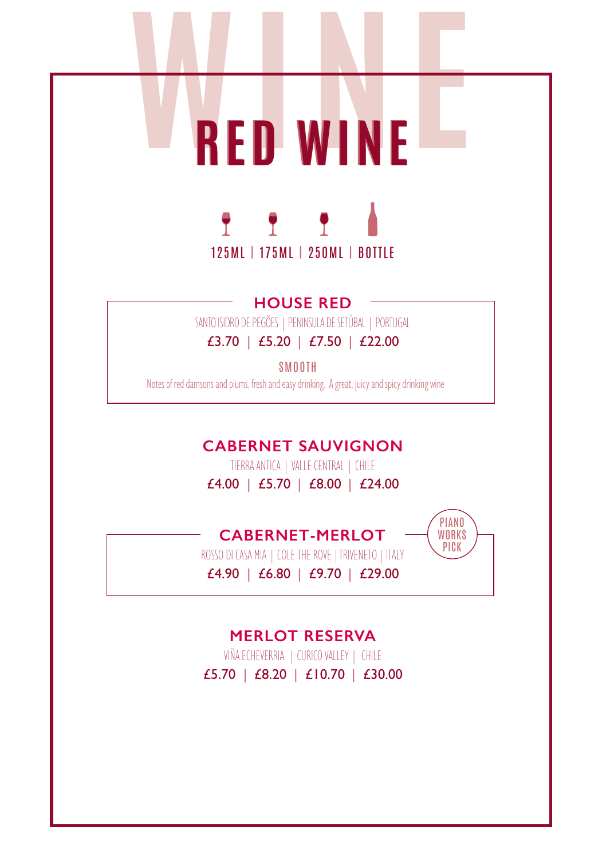



**HOUSE RED** SANTO ISIDRO DE PEGÕES | PENINSULA DE SETÚBAL | PORTUGAL

# £3.70 | £5.20 | £7.50 | £22.00

SMOOTH

Notes of red damsons and plums, fresh and easy drinking. A great, juicy and spicy drinking wine

# **CABERNET SAUVIGNON**

TIERRA ANTICA | VALLE CENTRAL | CHILE £4.00 | £5.70 | £8.00 | £24.00

# **CABERNET-MERLOT**



ROSSO DI CASA MIA | COLE THE ROVE | TRIVENETO | ITALY £4.90 | £6.80 | £9.70 | £29.00

# **MERLOT RESERVA**

VIÑA ECHEVERRIA | CURICO VALLEY | CHILE £5.70 | £8.20 | £10.70 | £30.00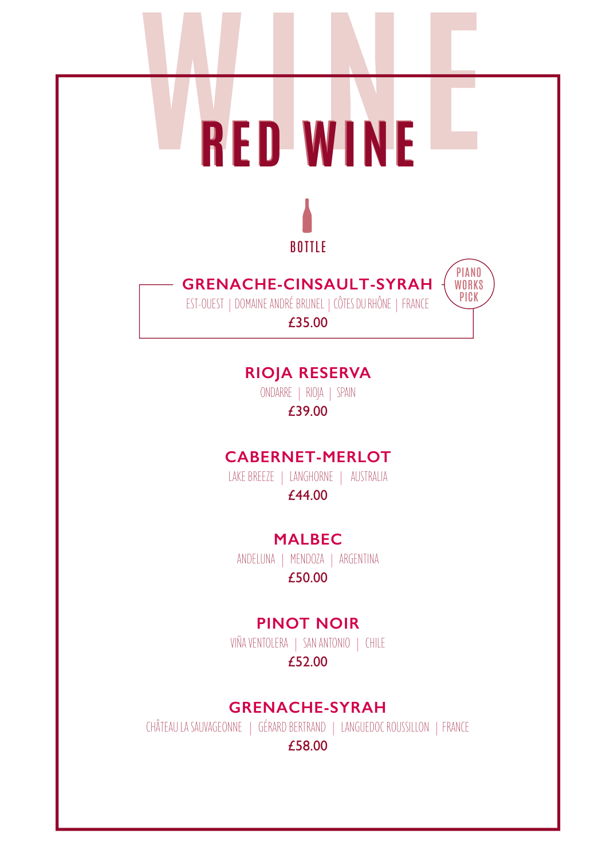



# **GRENACHE-CINSAULT-SYRAH**

EST-OUEST | DOMAINE ANDRÉ BRUNEL | CÔTES DU RHÔNE | FRANCE

PIANO **WORKS PICK** 

£35.00

# **RIOJA RESERVA**

ONDARRE | RIOJA | SPAIN £39.00

# **CABERNET-MERLOT**

LAKE BREEZE | LANGHORNE | AUSTRALIA £44.00

#### **MALBEC**

ANDELUNA | MENDOZA | ARGENTINA £50.00

# **PINOT NOIR**

VIÑA VENTOLERA | SAN ANTONIO | CHILE £52.00

#### **GRENACHE-SYRAH**

CHÂTEAU LA SAUVAGEONNE | GÉRARD BERTRAND | LANGUEDOC ROUSSILLON | FRANCE

£58.00